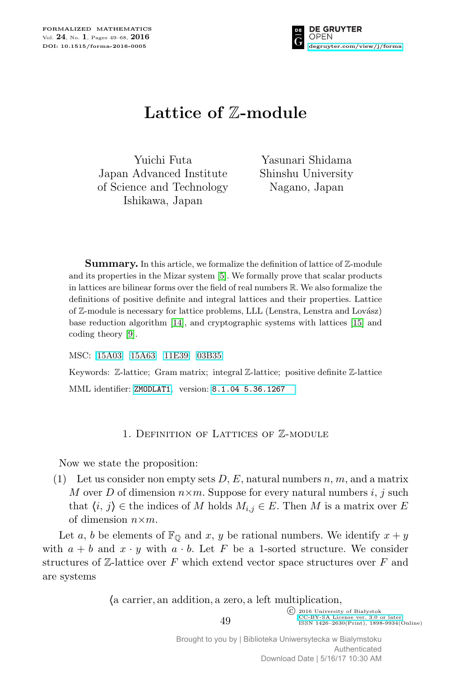

# **Lattice of** Z**-module**

Yuichi Futa Japan Advanced Institute of Science and Technology Ishikawa, Japan

Yasunari Shidama Shinshu University Nagano, Japan

**Summary.** In this article, we formalize the definition of lattice of Z-module and its properties in the Mizar system [5]. We formally prove that scalar products in lattices are bilinear forms over the field of real numbers R. We also formalize the definitions of positive definite and integral lattices and their properties. Lattice of Z-module is necessary for lattice problems, LLL (Lenstra, Lenstra and Lovász) base reduction algorithm [14], and cryptographic systems with lattices [15] and coding theory [9].

MSC: [15A03](http://zbmath.org/classification/?q=cc:15A03) [15A63](http://zbmath.org/classification/?q=cc:15A63) [11E39](http://zbmath.org/classification/?q=cc:11E39) [03B35](http://zbmath.org/classification/?q=cc:03B35)

Keywords: Z-lattice; Gram matrix; integral Z-lattice; positive definite Z-lattice MML identifier: [ZMODLAT1](http://fm.mizar.org/miz/zmodlat1.miz), version: [8.1.04 5.36.1267](http://ftp.mizar.org/)

## 1. Definition of Lattices of Z-module

Now we state the proposition:

(1) Let us consider non empty sets *D*, *E*, natural numbers *n*, *m*, and a matrix *M* over *D* of dimension  $n \times m$ . Suppose for every natural numbers *i*, *j* such that  $\langle i, j \rangle$  ∈ the indices of *M* holds  $M_{i,j}$  ∈ *E*. Then *M* is a matrix over *E* of dimension *n×m*.

Let *a*, *b* be elements of  $\mathbb{F}_{\mathbb{Q}}$  and *x*, *y* be rational numbers. We identify  $x + y$ with  $a + b$  and  $x \cdot y$  with  $a \cdot b$ . Let F be a 1-sorted structure. We consider structures of Z-lattice over *F* which extend vector space structures over *F* and are systems

*h*a carrier*,* an addition*,* a zero*,* a left multiplication*,*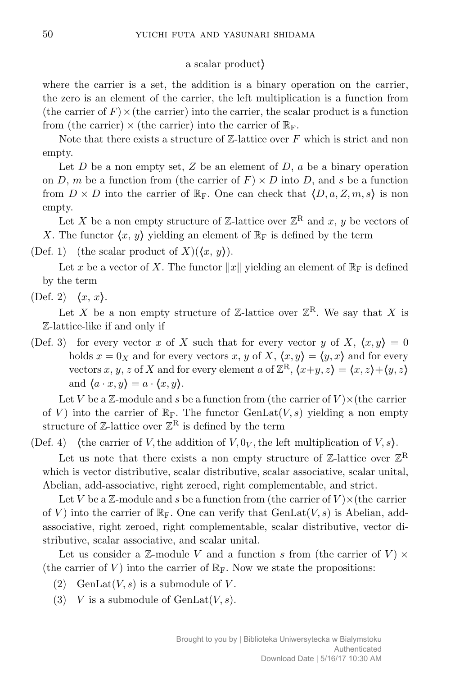### a scalar product*i*

where the carrier is a set, the addition is a binary operation on the carrier, the zero is an element of the carrier, the left multiplication is a function from (the carrier of  $F$ )  $\times$  (the carrier) into the carrier, the scalar product is a function from (the carrier)  $\times$  (the carrier) into the carrier of  $\mathbb{R}_{\mathbb{F}}$ .

Note that there exists a structure of Z-lattice over F which is strict and non empty.

Let *D* be a non empty set, *Z* be an element of *D*, *a* be a binary operation on *D*, *m* be a function from (the carrier of  $F$ )  $\times$  *D* into *D*, and *s* be a function from  $D \times D$  into the carrier of  $\mathbb{R}_F$ . One can check that  $\langle D, a, Z, m, s \rangle$  is non empty.

Let *X* be a non empty structure of  $\mathbb{Z}$ -lattice over  $\mathbb{Z}^R$  and *x*, *y* be vectors of X. The functor  $\langle x, y \rangle$  yielding an element of  $\mathbb{R}_{\text{F}}$  is defined by the term

(Def. 1) (the scalar product of  $X$ )( $\langle x, y \rangle$ ).

Let x be a vector of X. The functor  $||x||$  yielding an element of  $\mathbb{R}_{\mathrm{F}}$  is defined by the term

(Def. 2)  $\langle x, x \rangle$ .

Let *X* be a non empty structure of  $\mathbb{Z}$ -lattice over  $\mathbb{Z}^R$ . We say that *X* is Z-lattice-like if and only if

(Def. 3) for every vector *x* of *X* such that for every vector *y* of *X*,  $\langle x, y \rangle = 0$ holds  $x = 0$ <sub>X</sub> and for every vectors *x*, *y* of *X*,  $\langle x, y \rangle = \langle y, x \rangle$  and for every vectors *x*, *y*, *z* of *X* and for every element *a* of  $\mathbb{Z}^R$ ,  $\langle x+y, z \rangle = \langle x, z \rangle + \langle y, z \rangle$ and  $\langle a \cdot x, y \rangle = a \cdot \langle x, y \rangle$ .

Let *V* be a  $\mathbb{Z}$ -module and *s* be a function from (the carrier of  $V$ ) $\times$ (the carrier of *V*) into the carrier of  $\mathbb{R}_F$ . The functor GenLat(*V, s*) yielding a non empty structure of  $\mathbb{Z}\text{-}$  lattice over  $\mathbb{Z}^R$  is defined by the term

(Def. 4) (the carrier of *V*, the addition of *V*,  $0_V$ , the left multiplication of *V*, *s*).

Let us note that there exists a non empty structure of  $\mathbb{Z}$ -lattice over  $\mathbb{Z}^R$ which is vector distributive, scalar distributive, scalar associative, scalar unital, Abelian, add-associative, right zeroed, right complementable, and strict.

Let *V* be a  $\mathbb{Z}$ -module and *s* be a function from (the carrier of  $V$ ) $\times$ (the carrier of *V*) into the carrier of  $\mathbb{R}_F$ . One can verify that GenLat $(V, s)$  is Abelian, addassociative, right zeroed, right complementable, scalar distributive, vector distributive, scalar associative, and scalar unital.

Let us consider a Z-module V and a function s from (the carrier of  $V$ )  $\times$ (the carrier of  $V$ ) into the carrier of  $\mathbb{R}_F$ . Now we state the propositions:

- (2) GenLat $(V, s)$  is a submodule of  $V$ .
- (3) *V* is a submodule of  $GenLat(V, s)$ .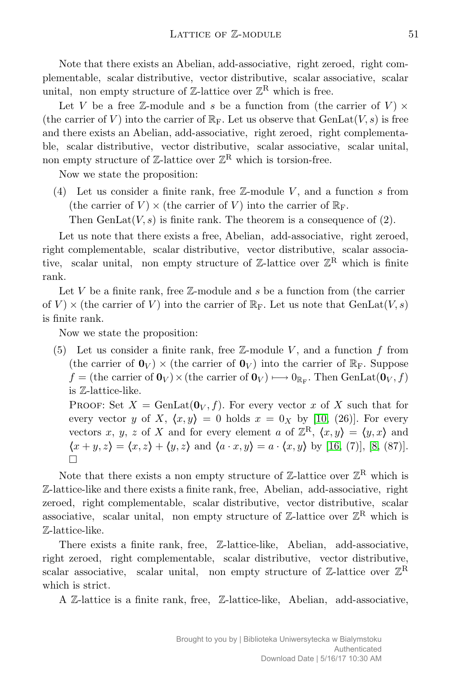Note that there exists an Abelian, add-associative, right zeroed, right complementable, scalar distributive, vector distributive, scalar associative, scalar unital, non empty structure of  $\mathbb{Z}$ -lattice over  $\mathbb{Z}^R$  which is free.

Let *V* be a free Z-module and *s* be a function from (the carrier of  $V$ )  $\times$ (the carrier of *V*) into the carrier of  $\mathbb{R}_{F}$ . Let us observe that  $GenLat(V, s)$  is free and there exists an Abelian, add-associative, right zeroed, right complementable, scalar distributive, vector distributive, scalar associative, scalar unital, non empty structure of  $\mathbb{Z}\text{-lattice over }\mathbb{Z}^{\mathbf{R}}$  which is torsion-free.

Now we state the proposition:

(4) Let us consider a finite rank, free Z-module *V* , and a function *s* from (the carrier of  $V$ )  $\times$  (the carrier of  $V$ ) into the carrier of  $\mathbb{R}_{F}$ .

Then  $GenLat(V, s)$  is finite rank. The theorem is a consequence of  $(2)$ .

Let us note that there exists a free, Abelian, add-associative, right zeroed, right complementable, scalar distributive, vector distributive, scalar associative, scalar unital, non empty structure of  $\mathbb{Z}$ -lattice over  $\mathbb{Z}^R$  which is finite rank.

Let *V* be a finite rank, free Z-module and *s* be a function from (the carrier of  $V$   $\times$  (the carrier of  $V$ ) into the carrier of  $\mathbb{R}_{F}$ . Let us note that GenLat $(V, s)$ is finite rank.

Now we state the proposition:

(5) Let us consider a finite rank, free Z-module *V* , and a function *f* from (the carrier of  $\mathbf{0}_V$ )  $\times$  (the carrier of  $\mathbf{0}_V$ ) into the carrier of  $\mathbb{R}_F$ . Suppose  $f =$  (the carrier of  $\mathbf{0}_V$ )  $\times$  (the carrier of  $\mathbf{0}_V$ )  $\longmapsto$  0<sub>RF</sub>. Then GenLat $(\mathbf{0}_V, f)$ is Z-lattice-like.

**PROOF:** Set  $X = \text{GenLat}(\mathbf{0}_V, f)$ . For every vector x of X such that for every vector *y* of *X*,  $\langle x, y \rangle = 0$  holds  $x = 0$ <sub>*X*</sub> by [10, (26)]. For every vectors *x*, *y*, *z* of *X* and for every element *a* of  $\mathbb{Z}^{\mathbf{R}}$ ,  $\langle x, y \rangle = \langle y, x \rangle$  and  $\langle x + y, z \rangle = \langle x, z \rangle + \langle y, z \rangle$  and  $\langle a \cdot x, y \rangle = a \cdot \langle x, y \rangle$  by [16, (7)], [8, (87)]. П

Note that there exists a non empty structure of  $\mathbb{Z}$ -lattice over  $\mathbb{Z}^R$  which is Z-lattice-like and there exists a finite rank, free, Abelian, add-associative, right zeroed, right complementable, scalar distributive, vector distributive, scalar associative, scalar unital, non empty structure of  $\mathbb{Z}$ -lattice over  $\mathbb{Z}^R$  which is Z-lattice-like.

There exists a finite rank, free, Z-lattice-like, Abelian, add-associative, right zeroed, right complementable, scalar distributive, vector distributive, scalar associative, scalar unital, non empty structure of  $\mathbb{Z}$ -lattice over  $\mathbb{Z}^R$ which is strict.

A Z-lattice is a finite rank, free, Z-lattice-like, Abelian, add-associative,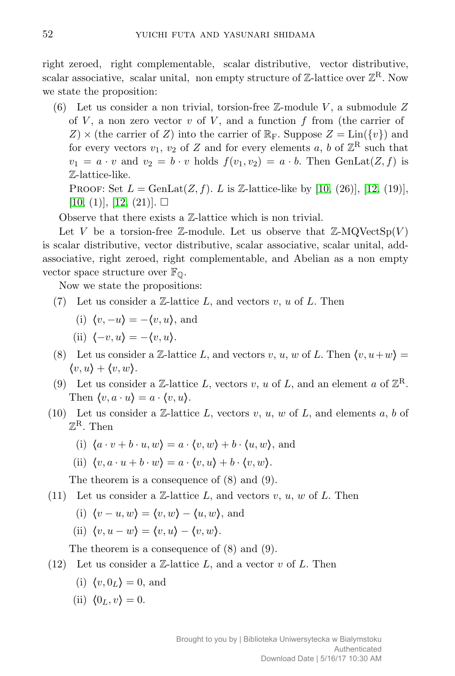right zeroed, right complementable, scalar distributive, vector distributive, scalar associative, scalar unital, non empty structure of  $\mathbb{Z}$ -lattice over  $\mathbb{Z}^R$ . Now we state the proposition:

(6) Let us consider a non trivial, torsion-free Z-module *V* , a submodule *Z* of *V* , a non zero vector *v* of *V* , and a function *f* from (the carrier of  $Z \times ($  the carrier of *Z*) into the carrier of  $\mathbb{R}_F$ . Suppose  $Z = \text{Lin}(\{v\})$  and for every vectors  $v_1$ ,  $v_2$  of  $Z$  and for every elements  $a, b$  of  $\mathbb{Z}^R$  such that  $v_1 = a \cdot v$  and  $v_2 = b \cdot v$  holds  $f(v_1, v_2) = a \cdot b$ . Then GenLat $(Z, f)$  is Z-lattice-like.

**PROOF:** Set  $L = \text{GenLat}(Z, f)$ . *L* is Z-lattice-like by [10, (26)], [12, (19)],  $[10, (1)], [12, (21)]. \square$ 

Observe that there exists a Z-lattice which is non trivial.

Let *V* be a torsion-free Z-module. Let us observe that  $\mathbb{Z}\text{-MQVectSp}(V)$ is scalar distributive, vector distributive, scalar associative, scalar unital, addassociative, right zeroed, right complementable, and Abelian as a non empty vector space structure over  $\mathbb{F}_{\mathbb{Q}}$ .

Now we state the propositions:

(7) Let us consider a Z-lattice *L*, and vectors *v*, *u* of *L*. Then

(i) 
$$
\langle v, -u \rangle = -\langle v, u \rangle
$$
, and

(ii) 
$$
\langle -v, u \rangle = -\langle v, u \rangle
$$
.

- (8) Let us consider a Z-lattice L, and vectors v, u, w of L. Then  $\langle v, u+w \rangle =$  $\langle v, u \rangle + \langle v, w \rangle$ .
- (9) Let us consider a  $\mathbb{Z}$ -lattice *L*, vectors *v*, *u* of *L*, and an element *a* of  $\mathbb{Z}^R$ . Then  $\langle v, a \cdot u \rangle = a \cdot \langle v, u \rangle$ .
- (10) Let us consider a Z-lattice *L*, vectors *v*, *u*, *w* of *L*, and elements *a*, *b* of  $\mathbb{Z}^{\mathbf{R}}$ . Then
	- (i)  $\langle a \cdot v + b \cdot u, w \rangle = a \cdot \langle v, w \rangle + b \cdot \langle u, w \rangle$ , and

(ii) 
$$
\langle v, a \cdot u + b \cdot w \rangle = a \cdot \langle v, u \rangle + b \cdot \langle v, w \rangle
$$
.

The theorem is a consequence of (8) and (9).

- (11) Let us consider a  $\mathbb{Z}$ -lattice  $L$ , and vectors  $v, u, w$  of  $L$ . Then
	- (i)  $\langle v u, w \rangle = \langle v, w \rangle \langle u, w \rangle$ , and
	- (ii)  $\langle v, u w \rangle = \langle v, u \rangle \langle v, w \rangle$ .

The theorem is a consequence of (8) and (9).

- (12) Let us consider a Z-lattice *L*, and a vector *v* of *L*. Then
	- $\langle v, 0_L \rangle = 0$ , and
	- (ii)  $\langle 0_L, v \rangle = 0$ .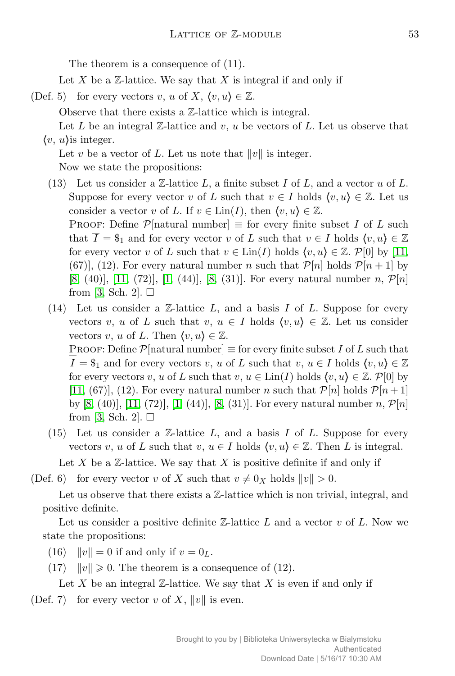The theorem is a consequence of (11).

Let *X* be a  $\mathbb{Z}$ -lattice. We say that *X* is integral if and only if

(Def. 5) for every vectors *v*, *u* of *X*,  $\langle v, u \rangle \in \mathbb{Z}$ .

Observe that there exists a Z-lattice which is integral.

Let  $L$  be an integral  $\mathbb{Z}$ -lattice and  $v, u$  be vectors of  $L$ . Let us observe that  $\langle v, u \rangle$  is integer.

Let *v* be a vector of L. Let us note that  $||v||$  is integer. Now we state the propositions:

- (13) Let us consider a Z-lattice *L*, a finite subset *I* of *L*, and a vector *u* of *L*. Suppose for every vector *v* of *L* such that  $v \in I$  holds  $\langle v, u \rangle \in \mathbb{Z}$ . Let us consider a vector *v* of *L*. If  $v \in \text{Lin}(I)$ , then  $\langle v, u \rangle \in \mathbb{Z}$ . PROOF: Define  $\mathcal{P}[\text{natural number}] \equiv \text{for every finite subset } I \text{ of } L \text{ such}$ that  $\overline{I} = \$_1$  and for every vector *v* of *L* such that  $v \in I$  holds  $\langle v, u \rangle \in \mathbb{Z}$ for every vector *v* of *L* such that  $v \in \text{Lin}(I)$  holds  $\langle v, u \rangle \in \mathbb{Z}$ . P[0] by [11, (67)], (12). For every natural number *n* such that  $\mathcal{P}[n]$  holds  $\mathcal{P}[n+1]$  by [8, (40)], [11, (72)], [1, (44)], [8, (31)]. For every natural number *n*, *P*[*n*] from [3, Sch. 2].  $\square$
- (14) Let us consider a Z-lattice *L*, and a basis *I* of *L*. Suppose for every vectors *v*, *u* of *L* such that *v*,  $u \in I$  holds  $\langle v, u \rangle \in \mathbb{Z}$ . Let us consider vectors *v*, *u* of *L*. Then  $\langle v, u \rangle \in \mathbb{Z}$ .

PROOF: Define  $\mathcal{P}[\text{natural number}] \equiv \text{for every finite subset } I \text{ of } L \text{ such that}$  $\overline{I} = \$_1$  and for every vectors *v*, *u* of *L* such that *v*,  $u \in I$  holds  $\langle v, u \rangle \in \mathbb{Z}$ for every vectors *v*, *u* of *L* such that *v*,  $u \in \text{Lin}(I)$  holds  $\langle v, u \rangle \in \mathbb{Z}$ .  $\mathcal{P}[0]$  by [11, (67)], (12). For every natural number *n* such that  $\mathcal{P}[n]$  holds  $\mathcal{P}[n+1]$ by [8, (40)], [11, (72)], [1, (44)], [8, (31)]. For every natural number *n*,  $\mathcal{P}[n]$ from [3, Sch. 2].  $\square$ 

(15) Let us consider a Z-lattice *L*, and a basis *I* of *L*. Suppose for every vectors *v*, *u* of *L* such that *v*,  $u \in I$  holds  $\langle v, u \rangle \in \mathbb{Z}$ . Then *L* is integral.

Let *X* be a Z-lattice. We say that *X* is positive definite if and only if

(Def. 6) for every vector *v* of *X* such that  $v \neq 0$ <sub>*X*</sub> holds  $||v|| > 0$ .

Let us observe that there exists a  $\mathbb{Z}$ -lattice which is non trivial, integral, and positive definite.

Let us consider a positive definite Z-lattice *L* and a vector *v* of *L*. Now we state the propositions:

(16)  $\|v\| = 0$  if and only if  $v = 0_L$ .

(17)  $\|v\| \geq 0$ . The theorem is a consequence of (12).

Let X be an integral  $\mathbb{Z}$ -lattice. We say that X is even if and only if (Def. 7) for every vector *v* of *X*,  $||v||$  is even.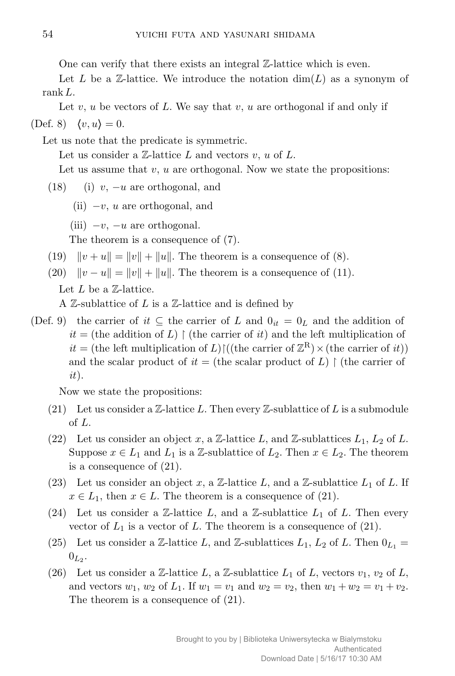One can verify that there exists an integral Z-lattice which is even.

Let L be a  $\mathbb{Z}$ -lattice. We introduce the notation  $\dim(L)$  as a synonym of rank*L*.

Let *v*, *u* be vectors of *L*. We say that *v*, *u* are orthogonal if and only if (Def. 8)  $\langle v, u \rangle = 0$ .

Let us note that the predicate is symmetric.

Let us consider a Z-lattice *L* and vectors *v*, *u* of *L*.

Let us assume that *v*, *u* are orthogonal. Now we state the propositions:

- (18) (i) *v*, *−u* are orthogonal, and
	- (ii) *−v*, *u* are orthogonal, and
	- (iii) *−v*, *−u* are orthogonal.

The theorem is a consequence of (7).

- (19)  $\|v + u\| = \|v\| + \|u\|$ . The theorem is a consequence of (8).
- $(20)$   $\|v u\| = \|v\| + \|u\|$ . The theorem is a consequence of (11).

Let *L* be a Z-lattice.

A  $\mathbb{Z}$ -sublattice of  $L$  is a  $\mathbb{Z}$ -lattice and is defined by

(Def. 9) the carrier of *it*  $\subseteq$  the carrier of *L* and  $0_{it} = 0_L$  and the addition of  $it =$  (the addition of *L*)  $\upharpoonright$  (the carrier of *it*) and the left multiplication of  $it =$  (the left multiplication of *L*) $\left| \right|$  ((the carrier of  $\mathbb{Z}^R$ )  $\times$  (the carrier of *it*)) and the scalar product of  $it =$  (the scalar product of  $L$ )  $\upharpoonright$  (the carrier of *it*).

Now we state the propositions:

- (21) Let us consider a  $\mathbb{Z}\text{-lattice } L$ . Then every  $\mathbb{Z}\text{-sublattice of } L$  is a submodule of *L*.
- (22) Let us consider an object x, a  $\mathbb{Z}$ -lattice L, and  $\mathbb{Z}$ -sublattices  $L_1, L_2$  of L. Suppose  $x \in L_1$  and  $L_1$  is a Z-sublattice of  $L_2$ . Then  $x \in L_2$ . The theorem is a consequence of (21).
- (23) Let us consider an object x, a  $\mathbb{Z}$ -lattice L, and a  $\mathbb{Z}$ -sublattice  $L_1$  of L. If  $x \in L_1$ , then  $x \in L$ . The theorem is a consequence of (21).
- (24) Let us consider a  $\mathbb{Z}$ -lattice  $L$ , and a  $\mathbb{Z}$ -sublattice  $L_1$  of  $L$ . Then every vector of  $L_1$  is a vector of  $L$ . The theorem is a consequence of  $(21)$ .
- (25) Let us consider a Z-lattice *L*, and Z-sublattices  $L_1$ ,  $L_2$  of *L*. Then  $0_{L_1}$  =  $0_{L_2}$ .
- (26) Let us consider a Z-lattice L, a Z-sublattice  $L_1$  of L, vectors  $v_1, v_2$  of L, and vectors  $w_1, w_2$  of  $L_1$ . If  $w_1 = v_1$  and  $w_2 = v_2$ , then  $w_1 + w_2 = v_1 + v_2$ . The theorem is a consequence of (21).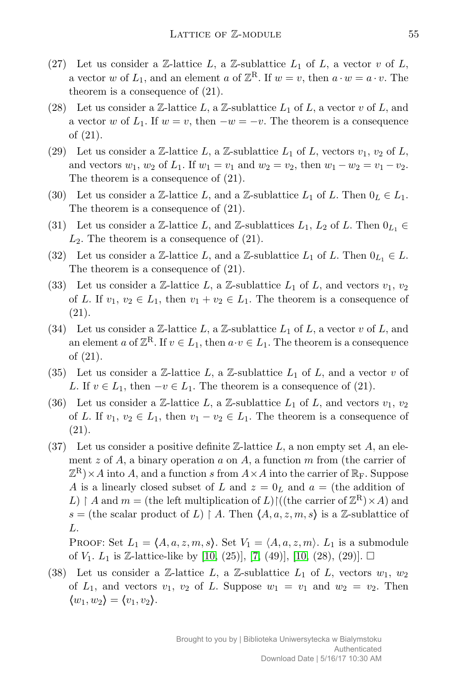- (27) Let us consider a  $\mathbb{Z}$ -lattice  $L$ , a  $\mathbb{Z}$ -sublattice  $L_1$  of  $L$ , a vector  $v$  of  $L$ , a vector *w* of  $L_1$ , and an element *a* of  $\mathbb{Z}^R$ . If  $w = v$ , then  $a \cdot w = a \cdot v$ . The theorem is a consequence of (21).
- (28) Let us consider a Z-lattice  $L$ , a Z-sublattice  $L_1$  of  $L$ , a vector  $v$  of  $L$ , and a vector *w* of  $L_1$ . If  $w = v$ , then  $-w = -v$ . The theorem is a consequence of (21).
- (29) Let us consider a Z-lattice  $L$ , a Z-sublattice  $L_1$  of  $L$ , vectors  $v_1$ ,  $v_2$  of  $L$ , and vectors  $w_1, w_2$  of  $L_1$ . If  $w_1 = v_1$  and  $w_2 = v_2$ , then  $w_1 - w_2 = v_1 - v_2$ . The theorem is a consequence of (21).
- (30) Let us consider a Z-lattice L, and a Z-sublattice  $L_1$  of L. Then  $0_L \in L_1$ . The theorem is a consequence of (21).
- (31) Let us consider a Z-lattice *L*, and Z-sublattices  $L_1, L_2$  of *L*. Then  $0_{L_1} \in$ *L*2. The theorem is a consequence of (21).
- (32) Let us consider a Z-lattice *L*, and a Z-sublattice  $L_1$  of *L*. Then  $0_{L_1} \in L$ . The theorem is a consequence of (21).
- (33) Let us consider a Z-lattice L, a Z-sublattice  $L_1$  of L, and vectors  $v_1, v_2$ of *L*. If  $v_1, v_2 \in L_1$ , then  $v_1 + v_2 \in L_1$ . The theorem is a consequence of (21).
- (34) Let us consider a Z-lattice  $L$ , a Z-sublattice  $L_1$  of  $L$ , a vector  $v$  of  $L$ , and an element *a* of  $\mathbb{Z}^R$ . If  $v \in L_1$ , then  $a \cdot v \in L_1$ . The theorem is a consequence of (21).
- (35) Let us consider a  $\mathbb{Z}$ -lattice  $L$ , a  $\mathbb{Z}$ -sublattice  $L_1$  of  $L$ , and a vector  $v$  of *L*. If  $v \in L_1$ , then  $-v \in L_1$ . The theorem is a consequence of (21).
- (36) Let us consider a Z-lattice  $L$ , a Z-sublattice  $L_1$  of  $L$ , and vectors  $v_1, v_2$ of *L*. If  $v_1, v_2 \in L_1$ , then  $v_1 - v_2 \in L_1$ . The theorem is a consequence of (21).
- (37) Let us consider a positive definite Z-lattice *L*, a non empty set *A*, an element *z* of *A*, a binary operation *a* on *A*, a function *m* from (the carrier of  $(\mathbb{Z}^{\mathbf{R}}) \times A$  into *A*, and a function *s* from  $A \times A$  into the carrier of  $\mathbb{R}_{\mathrm{F}}$ . Suppose *A* is a linearly closed subset of *L* and  $z = 0<sub>L</sub>$  and  $a =$  (the addition of L)  $\upharpoonright$  *A* and  $m =$  (the left multiplication of L) $\upharpoonright$  ((the carrier of  $\mathbb{Z}^R$ ) × A) and *s* = (the scalar product of *L*)  $\upharpoonright$  *A*. Then  $\langle A, a, z, m, s \rangle$  is a Z-sublattice of *L*.

PROOF: Set  $L_1 = \langle A, a, z, m, s \rangle$ . Set  $V_1 = \langle A, a, z, m \rangle$ .  $L_1$  is a submodule of  $V_1$ .  $L_1$  is Z-lattice-like by [10, (25)], [7, (49)], [10, (28), (29)].  $\Box$ 

(38) Let us consider a  $\mathbb{Z}$ -lattice  $L$ , a  $\mathbb{Z}$ -sublattice  $L_1$  of  $L$ , vectors  $w_1, w_2$ of  $L_1$ , and vectors  $v_1$ ,  $v_2$  of  $L$ . Suppose  $w_1 = v_1$  and  $w_2 = v_2$ . Then  $\langle w_1, w_2 \rangle = \langle v_1, v_2 \rangle$ .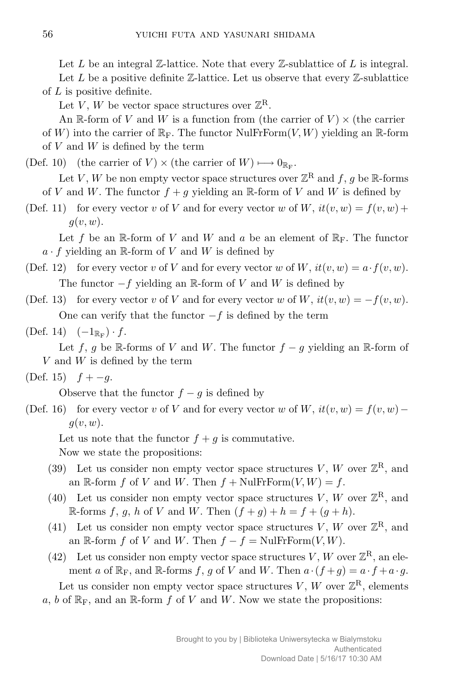Let *L* be an integral Z-lattice. Note that every Z-sublattice of *L* is integral.

Let  $L$  be a positive definite  $\mathbb{Z}$ -lattice. Let us observe that every  $\mathbb{Z}$ -sublattice of *L* is positive definite.

Let *V*, *W* be vector space structures over  $\mathbb{Z}^R$ .

An R-form of *V* and *W* is a function from (the carrier of  $V$ )  $\times$  (the carrier of *W*) into the carrier of  $\mathbb{R}_F$ . The functor NulFrForm $(V, W)$  yielding an  $\mathbb{R}$ -form of *V* and *W* is defined by the term

(Def. 10) (the carrier of *V*)  $\times$  (the carrier of *W*)  $\longmapsto 0_{\mathbb{R}_F}$ .

Let *V*, *W* be non empty vector space structures over  $\mathbb{Z}^{\mathbf{R}}$  and  $f, g$  be R-forms of *V* and *W*. The functor  $f + g$  yielding an R-form of *V* and *W* is defined by

(Def. 11) for every vector *v* of *V* and for every vector *w* of *W*,  $it(v, w) = f(v, w) +$ *g*(*v, w*).

Let f be an  $\mathbb{R}$ -form of V and W and a be an element of  $\mathbb{R}_F$ . The functor  $a \cdot f$  yielding an R-form of *V* and *W* is defined by

- (Def. 12) for every vector *v* of *V* and for every vector *w* of *W*,  $it(v, w) = a \cdot f(v, w)$ . The functor *−f* yielding an R-form of *V* and *W* is defined by
- (Def. 13) for every vector *v* of *V* and for every vector *w* of *W*,  $it(v, w) = -f(v, w)$ . One can verify that the functor *−f* is defined by the term
- $(\text{Def. 14})$   $(-1_{\mathbb{R}_F}) \cdot f$ .

Let *f*, *g* be R-forms of *V* and *W*. The functor  $f - g$  yielding an R-form of *V* and *W* is defined by the term

(Def. 15)  $f + -g$ .

Observe that the functor  $f - g$  is defined by

(Def. 16) for every vector *v* of *V* and for every vector *w* of *W*,  $it(v, w) = f(v, w)$ *g*(*v, w*).

Let us note that the functor  $f + g$  is commutative.

Now we state the propositions:

- (39) Let us consider non empty vector space structures V, W over  $\mathbb{Z}^R$ , and an  $\mathbb{R}$ -form  $f$  of  $V$  and  $W$ . Then  $f + \text{NulFrForm}(V, W) = f$ .
- (40) Let us consider non empty vector space structures V, W over  $\mathbb{Z}^R$ , and R-forms  $f, g, h$  of  $V$  and  $W$ . Then  $(f+g)+h=f+(g+h)$ .
- (41) Let us consider non empty vector space structures  $V, W$  over  $\mathbb{Z}^R$ , and an  $\mathbb{R}$ -form *f* of *V* and *W*. Then  $f - f = \text{NullFrForm}(V, W)$ .
- (42) Let us consider non empty vector space structures *V*, *W* over  $\mathbb{Z}^R$ , an element *a* of  $\mathbb{R}_F$ , and  $\mathbb{R}$ -forms *f*, *g* of *V* and *W*. Then  $a \cdot (f+g) = a \cdot f + a \cdot g$ .

Let us consider non empty vector space structures  $V, W$  over  $\mathbb{Z}^R$ , elements  $a, b$  of  $\mathbb{R}_F$ , and an  $\mathbb{R}$ -form  $f$  of  $V$  and  $W$ . Now we state the propositions: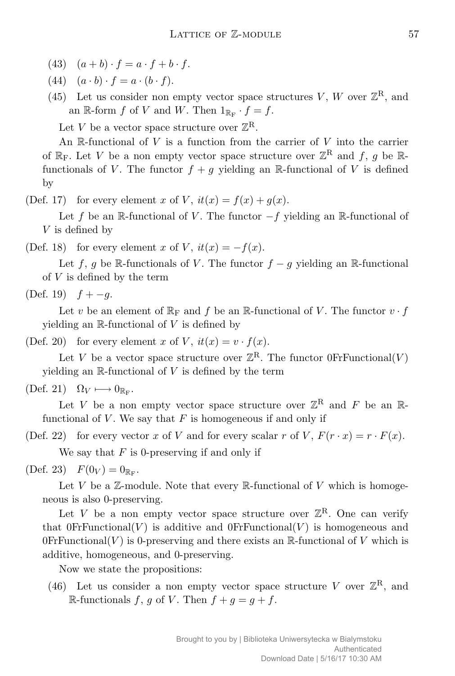- $(43)$   $(a + b) \cdot f = a \cdot f + b \cdot f$ .
- $(44)$   $(a \cdot b) \cdot f = a \cdot (b \cdot f).$
- (45) Let us consider non empty vector space structures  $V, W$  over  $\mathbb{Z}^R$ , and an  $\mathbb{R}$ -form  $f$  of  $V$  and  $W$ . Then  $1_{\mathbb{R}_F} \cdot f = f$ .

Let *V* be a vector space structure over  $\mathbb{Z}^R$ .

An R-functional of *V* is a function from the carrier of *V* into the carrier of  $\mathbb{R}_F$ . Let *V* be a non empty vector space structure over  $\mathbb{Z}^R$  and  $f$ ,  $g$  be  $\mathbb{R}$ functionals of *V*. The functor  $f + g$  yielding an R-functional of *V* is defined by

(Def. 17) for every element *x* of *V*,  $it(x) = f(x) + g(x)$ .

Let *f* be an R-functional of *V* . The functor *−f* yielding an R-functional of *V* is defined by

(Def. 18) for every element *x* of *V*,  $it(x) = -f(x)$ .

Let *f*, *g* be R-functionals of *V*. The functor  $f - g$  yielding an R-functional of *V* is defined by the term

(Def. 19)  $f + -q$ .

Let *v* be an element of  $\mathbb{R}_F$  and *f* be an  $\mathbb{R}$ -functional of *V*. The functor  $v \cdot f$ yielding an R-functional of *V* is defined by

(Def. 20) for every element *x* of *V*,  $it(x) = v \cdot f(x)$ .

Let *V* be a vector space structure over  $\mathbb{Z}^R$ . The functor 0FrFunctional(*V*) yielding an  $\mathbb R$ -functional of  $V$  is defined by the term

 $(\text{Def. 21}) \quad \Omega_V \longmapsto 0_{\mathbb{R}_F}.$ 

Let *V* be a non empty vector space structure over  $\mathbb{Z}^R$  and *F* be an  $\mathbb{R}$ functional of  $V$ . We say that  $F$  is homogeneous if and only if

(Def. 22) for every vector *x* of *V* and for every scalar *r* of *V*,  $F(r \cdot x) = r \cdot F(x)$ . We say that *F* is 0-preserving if and only if

(Def. 23)  $F(0_V) = 0_{\mathbb{R}_F}$ .

Let  $V$  be a  $\mathbb{Z}$ -module. Note that every  $\mathbb{R}$ -functional of  $V$  which is homogeneous is also 0-preserving.

Let *V* be a non empty vector space structure over  $\mathbb{Z}^R$ . One can verify that  $0$ FrFunctional(*V*) is additive and  $0$ FrFunctional(*V*) is homogeneous and  $0$ FrFunctional(*V*) is 0-preserving and there exists an R-functional of *V* which is additive, homogeneous, and 0-preserving.

Now we state the propositions:

(46) Let us consider a non empty vector space structure V over  $\mathbb{Z}^R$ , and R-functionals *f*, *g* of *V*. Then  $f + g = g + f$ .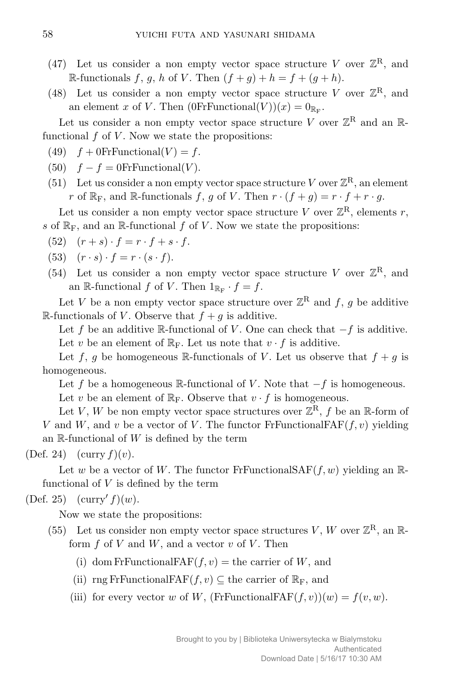- (47) Let us consider a non empty vector space structure V over  $\mathbb{Z}^R$ , and R-functionals  $f, g, h$  of  $V$ . Then  $(f+g)+h=f+(g+h)$ .
- (48) Let us consider a non empty vector space structure V over  $\mathbb{Z}^R$ , and an element *x* of *V*. Then  $(0FrFunctional(V))(x) = 0_{\mathbb{R}_F}$ .

Let us consider a non empty vector space structure V over  $\mathbb{Z}^R$  and an  $\mathbb{R}$ functional  $f$  of  $V$ . Now we state the propositions:

- (49)  $f + 0$ FrFunctional( $V$ ) =  $f$ .
- (50)  $f f = 0$ FrFunctional(*V*).
- (51) Let us consider a non empty vector space structure *V* over  $\mathbb{Z}^R$ , an element *r* of  $\mathbb{R}_F$ , and  $\mathbb{R}$ -functionals *f*, *g* of *V*. Then  $r \cdot (f + g) = r \cdot f + r \cdot g$ .

Let us consider a non empty vector space structure *V* over  $\mathbb{Z}^R$ , elements *r*, *s* of  $\mathbb{R}_F$ , and an  $\mathbb{R}$ -functional  $f$  of  $V$ . Now we state the propositions:

- $(52)$   $(r + s) \cdot f = r \cdot f + s \cdot f$ .
- $(53)$   $(r \cdot s) \cdot f = r \cdot (s \cdot f).$
- (54) Let us consider a non empty vector space structure V over  $\mathbb{Z}^R$ , and an  $\mathbb{R}$ -functional *f* of *V*. Then  $1_{\mathbb{R}_F} \cdot f = f$ .

Let *V* be a non empty vector space structure over  $\mathbb{Z}^R$  and  $f, g$  be additive R-functionals of *V*. Observe that  $f + g$  is additive.

Let *f* be an additive R-functional of *V* . One can check that *−f* is additive. Let *v* be an element of  $\mathbb{R}_F$ . Let us note that  $v \cdot f$  is additive.

Let f, g be homogeneous R-functionals of V. Let us observe that  $f + g$  is homogeneous.

Let *f* be a homogeneous R-functional of *V* . Note that *−f* is homogeneous. Let *v* be an element of  $\mathbb{R}_F$ . Observe that  $v \cdot f$  is homogeneous.

Let *V*, *W* be non empty vector space structures over  $\mathbb{Z}^R$ , *f* be an R-form of *V* and *W*, and *v* be a vector of *V*. The functor FrFunctionalFAF $(f, v)$  yielding an  $\mathbb{R}$ -functional of  $W$  is defined by the term

(Def. 24)  $(\text{curry } f)(v)$ .

Let *w* be a vector of *W*. The functor FrFunctionalSAF $(f, w)$  yielding an Rfunctional of *V* is defined by the term

 $(Def. 25)$   $(curry' f)(w).$ 

Now we state the propositions:

- (55) Let us consider non empty vector space structures V, W over  $\mathbb{Z}^R$ , an  $\mathbb{R}$ form  $f$  of  $V$  and  $W$ , and a vector  $v$  of  $V$ . Then
	- (i) dom FrFunctionalFAF $(f, v)$  = the carrier of *W*, and
	- (ii) rng FrFunctionalFAF $(f, v) \subseteq$  the carrier of  $\mathbb{R}_F$ , and
	- (iii) for every vector *w* of *W*, (FrFunctionalFAF $(f, v)(w) = f(v, w)$ .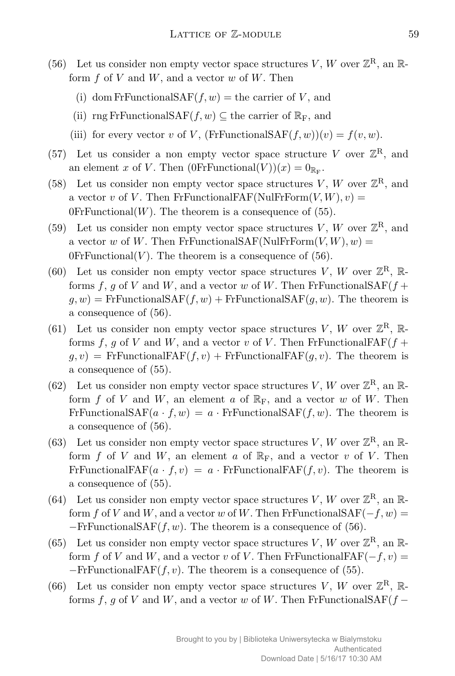- (56) Let us consider non empty vector space structures V, W over  $\mathbb{Z}^R$ , an  $\mathbb{R}$ form *f* of *V* and *W*, and a vector *w* of *W*. Then
	- (i) dom FrFunctionalSAF $(f, w)$  = the carrier of *V*, and
	- (ii) rng FrFunctionalSAF $(f, w) \subseteq$  the carrier of  $\mathbb{R}_F$ , and
	- (iii) for every vector *v* of *V*, (FrFunctionalSAF $(f, w)(v) = f(v, w)$ .
- (57) Let us consider a non empty vector space structure V over  $\mathbb{Z}^R$ , and an element *x* of *V*. Then  $(0FrFunctional(V))(x) = 0_{\mathbb{R}_F}$ .
- (58) Let us consider non empty vector space structures  $V, W$  over  $\mathbb{Z}^R$ , and a vector *v* of *V*. Then FrFunctionalFAF(NulFrForm $(V, W), v$ ) =  $0$ FrFunctional $(W)$ . The theorem is a consequence of  $(55)$ .
- (59) Let us consider non empty vector space structures  $V, W$  over  $\mathbb{Z}^R$ , and a vector *w* of *W*. Then FrFunctionalSAF(NulFrForm $(V, W), w$ ) =  $0$ FrFunctional $(V)$ . The theorem is a consequence of  $(56)$ .
- (60) Let us consider non empty vector space structures V, W over  $\mathbb{Z}^R$ , Rforms f, g of V and W, and a vector w of W. Then FrFunctionalSAF $(f +$  $g, w$ ) = FrFunctionalSAF $(f, w)$  + FrFunctionalSAF $(g, w)$ . The theorem is a consequence of (56).
- (61) Let us consider non empty vector space structures V, W over  $\mathbb{Z}^R$ , Rforms  $f, g$  of  $V$  and  $W$ , and a vector  $v$  of  $V$ . Then FrFunctionalFAF $(f +$  $g, v$ ) = FrFunctionalFAF $(f, v)$  + FrFunctionalFAF $(g, v)$ . The theorem is a consequence of (55).
- (62) Let us consider non empty vector space structures V, W over  $\mathbb{Z}^R$ , an  $\mathbb{R}$ form f of V and W, an element a of  $\mathbb{R}_F$ , and a vector w of W. Then FrFunctionalSAF $(a \cdot f, w) = a \cdot$ FrFunctionalSAF $(f, w)$ . The theorem is a consequence of (56).
- (63) Let us consider non empty vector space structures V, W over  $\mathbb{Z}^R$ , an  $\mathbb{R}$ form f of V and W, an element a of  $\mathbb{R}_F$ , and a vector v of V. Then FrFunctionalFAF $(a \cdot f, v) = a \cdot Fr$ FunctionalFAF $(f, v)$ . The theorem is a consequence of (55).
- (64) Let us consider non empty vector space structures V, W over  $\mathbb{Z}^R$ , an  $\mathbb{R}$ form *f* of *V* and *W*, and a vector *w* of *W*. Then FrFunctionalSAF( $-f, w$ ) = *−*FrFunctionalSAF(*f, w*). The theorem is a consequence of (56).
- (65) Let us consider non empty vector space structures V, W over  $\mathbb{Z}^R$ , an  $\mathbb{R}$ form *f* of *V* and *W*, and a vector *v* of *V*. Then FrFunctionalFAF( $-f, v$ ) = *−*FrFunctionalFAF(*f, v*). The theorem is a consequence of (55).
- (66) Let us consider non empty vector space structures V, W over  $\mathbb{Z}^R$ , Rforms  $f, g$  of  $V$  and  $W$ , and a vector  $w$  of  $W$ . Then FrFunctionalSAF $(f -$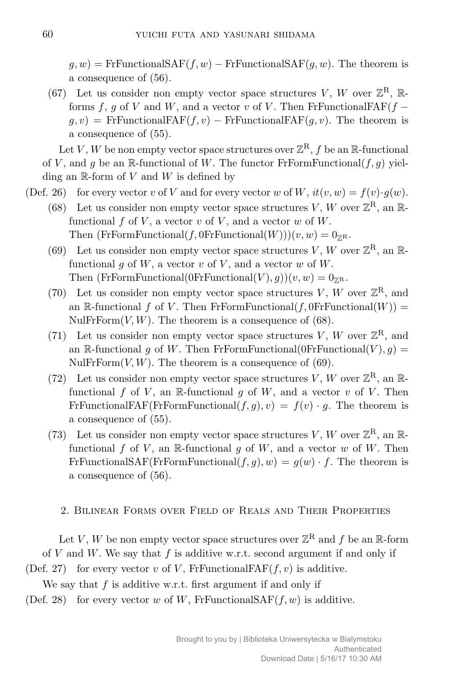$g, w$ ) = FrFunctionalSAF $(f, w)$  *−* FrFunctionalSAF $(g, w)$ . The theorem is a consequence of (56).

(67) Let us consider non empty vector space structures V, W over  $\mathbb{Z}^R$ , Rforms  $f, g$  of  $V$  and  $W$ , and a vector  $v$  of  $V$ . Then FrFunctionalFAF $(f$  $g, v$ ) = FrFunctionalFAF $(f, v)$  *−* FrFunctionalFAF $(g, v)$ . The theorem is a consequence of (55).

Let *V* , *W* be non empty vector space structures over  $\mathbb{Z}^{\mathbf{R}},$   $f$  be an  $\mathbb{R}\text{-}\text{functional}$ of *V*, and *q* be an R-functional of *W*. The functor FrFormFunctional( $f, q$ ) yielding an R-form of *V* and *W* is defined by

- (Def. 26) for every vector *v* of *V* and for every vector *w* of *W*,  $it(v, w) = f(v) \cdot g(w)$ .
	- (68) Let us consider non empty vector space structures V, W over  $\mathbb{Z}^R$ , an  $\mathbb{R}$ functional  $f$  of  $V$ , a vector  $v$  of  $V$ , and a vector  $w$  of  $W$ . Then  $(\text{FrFormFunctional}(f, 0\text{FrFunctional}(W)))(v, w) = 0_{\mathbb{Z}^R}$ .
	- (69) Let us consider non empty vector space structures V, W over  $\mathbb{Z}^R$ , an  $\mathbb{R}$ functional  $q$  of  $W$ , a vector  $v$  of  $V$ , and a vector  $w$  of  $W$ . Then (FrFormFunctional(0FrFunctional(*V*),  $g$ ))(*v*, *w*) =  $0_{\mathbb{Z}^R}$ .
	- (70) Let us consider non empty vector space structures  $V, W$  over  $\mathbb{Z}^R$ , and an  $\mathbb{R}\text{-}\text{functional } f$  of *V*. Then FrFormFunctional(*f*, 0FrFunctional(*W*)) = NulFrForm $(V, W)$ . The theorem is a consequence of (68).
	- (71) Let us consider non empty vector space structures  $V, W$  over  $\mathbb{Z}^R$ , and an R-functional *g* of *W*. Then FrFormFunctional(0FrFunctional(*V*), *g*) = NulFrForm $(V, W)$ . The theorem is a consequence of (69).
	- (72) Let us consider non empty vector space structures  $V, W$  over  $\mathbb{Z}^R$ , an  $\mathbb{R}$ functional  $f$  of  $V$ , an  $\mathbb{R}$ -functional  $g$  of  $W$ , and a vector  $v$  of  $V$ . Then FrFunctionalFAF(FrFormFunctional( $f, g$ ),  $v$ ) =  $f(v) \cdot g$ . The theorem is a consequence of (55).
	- (73) Let us consider non empty vector space structures  $V, W$  over  $\mathbb{Z}^R$ , an  $\mathbb{R}$ functional  $f$  of  $V$ , an  $\mathbb{R}$ -functional  $g$  of  $W$ , and a vector  $w$  of  $W$ . Then FrFunctionalSAF(FrFormFunctional( $f, g$ ),  $w$ ) =  $g(w) \cdot f$ . The theorem is a consequence of (56).
		- 2. Bilinear Forms over Field of Reals and Their Properties

Let *V*, *W* be non empty vector space structures over  $\mathbb{Z}^{\mathbb{R}}$  and *f* be an  $\mathbb{R}$ -form of *V* and *W*. We say that *f* is additive w.r.t. second argument if and only if

(Def. 27) for every vector *v* of *V*, FrFunctionalFAF $(f, v)$  is additive.

We say that *f* is additive w.r.t. first argument if and only if

(Def. 28) for every vector *w* of *W*, FrFunctionalSAF $(f, w)$  is additive.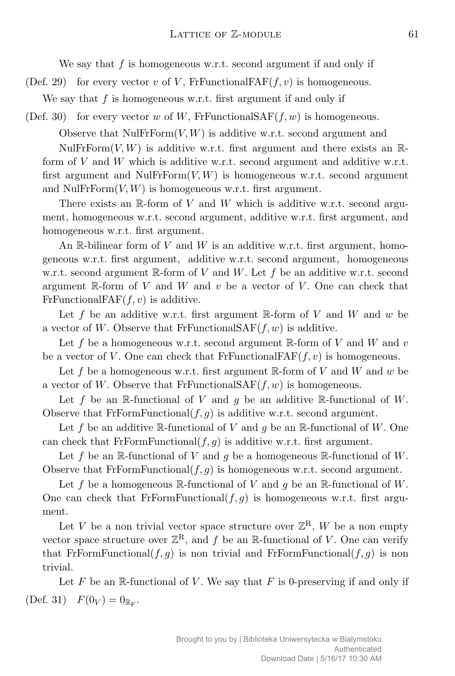We say that *f* is homogeneous w.r.t. second argument if and only if

(Def. 29) for every vector *v* of *V*, FrFunctionalFAF $(f, v)$  is homogeneous.

We say that *f* is homogeneous w.r.t. first argument if and only if

(Def. 30) for every vector *w* of *W*, FrFunctionalSAF $(f, w)$  is homogeneous.

Observe that  $\text{NullFrForm}(V, W)$  is additive w.r.t. second argument and NulFr $Form(V, W)$  is additive w.r.t. first argument and there exists an  $\mathbb{R}$ -

form of *V* and *W* which is additive w.r.t. second argument and additive w.r.t. first argument and NulFrForm $(V, W)$  is homogeneous w.r.t. second argument and NulFr $Form(V, W)$  is homogeneous w.r.t. first argument.

There exists an R-form of *V* and *W* which is additive w.r.t. second argument, homogeneous w.r.t. second argument, additive w.r.t. first argument, and homogeneous w.r.t. first argument.

An R-bilinear form of *V* and *W* is an additive w.r.t. first argument, homogeneous w.r.t. first argument, additive w.r.t. second argument, homogeneous w.r.t. second argument R-form of *V* and *W*. Let *f* be an additive w.r.t. second argument R-form of *V* and *W* and *v* be a vector of *V* . One can check that FrFunctionalFAF $(f, v)$  is additive.

Let  $f$  be an additive w.r.t. first argument R-form of  $V$  and  $W$  and  $w$  be a vector of *W*. Observe that FrFunctionalSAF $(f, w)$  is additive.

Let *f* be a homogeneous w.r.t. second argument R-form of *V* and *W* and *v* be a vector of *V*. One can check that FrFunctionalFAF $(f, v)$  is homogeneous.

Let *f* be a homogeneous w.r.t. first argument R-form of *V* and *W* and *w* be a vector of W. Observe that FrFunctionalSAF $(f, w)$  is homogeneous.

Let  $f$  be an  $\mathbb{R}$ -functional of  $V$  and  $g$  be an additive  $\mathbb{R}$ -functional of  $W$ . Observe that FrFormFunctional $(f, g)$  is additive w.r.t. second argument.

Let f be an additive R-functional of V and q be an R-functional of W. One can check that FrFormFunctional( $f, g$ ) is additive w.r.t. first argument.

Let f be an  $\mathbb{R}$ -functional of V and g be a homogeneous  $\mathbb{R}$ -functional of W. Observe that FrFormFunctional $(f, g)$  is homogeneous w.r.t. second argument.

Let f be a homogeneous R-functional of V and  $q$  be an R-functional of W. One can check that FrFormFunctional $(f, g)$  is homogeneous w.r.t. first argument.

Let *V* be a non trivial vector space structure over  $\mathbb{Z}^R$ , *W* be a non empty vector space structure over  $\mathbb{Z}^R$ , and f be an R-functional of *V*. One can verify that FrFormFunctional( $f, g$ ) is non trivial and FrFormFunctional( $f, g$ ) is non trivial.

Let  $F$  be an  $\mathbb R$ -functional of  $V$ . We say that  $F$  is 0-preserving if and only if (Def. 31)  $F(0_V) = 0_{\mathbb{R}_F}$ .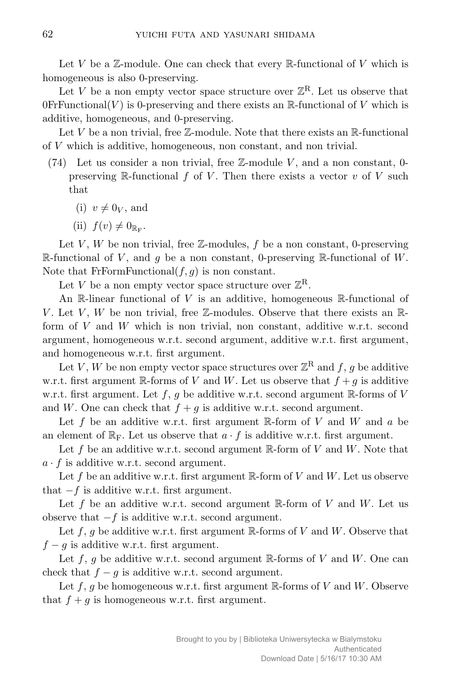Let  $V$  be a  $\mathbb{Z}$ -module. One can check that every  $\mathbb{R}$ -functional of  $V$  which is homogeneous is also 0-preserving.

Let *V* be a non empty vector space structure over  $\mathbb{Z}^R$ . Let us observe that  $0$ FrFunctional(*V*) is 0-preserving and there exists an R-functional of *V* which is additive, homogeneous, and 0-preserving.

Let  $V$  be a non trivial, free  $\mathbb{Z}$ -module. Note that there exists an  $\mathbb{R}$ -functional of *V* which is additive, homogeneous, non constant, and non trivial.

- (74) Let us consider a non trivial, free Z-module *V* , and a non constant, 0 preserving R-functional *f* of *V* . Then there exists a vector *v* of *V* such that
	- $(i)$   $v \neq 0_V$ , and
	- (ii)  $f(v) \neq 0_{\mathbb{R}_{\mathrm{F}}}$ .

Let  $V, W$  be non trivial, free  $\mathbb{Z}$ -modules,  $f$  be a non constant, 0-preserving R-functional of *V* , and *g* be a non constant, 0-preserving R-functional of *W*. Note that FrFormFunctional $(f, g)$  is non constant.

Let *V* be a non empty vector space structure over  $\mathbb{Z}^R$ .

An R-linear functional of *V* is an additive, homogeneous R-functional of *V*. Let *V*, *W* be non trivial, free Z-modules. Observe that there exists an Rform of *V* and *W* which is non trivial, non constant, additive w.r.t. second argument, homogeneous w.r.t. second argument, additive w.r.t. first argument, and homogeneous w.r.t. first argument.

Let *V*, *W* be non empty vector space structures over  $\mathbb{Z}^{\mathbf{R}}$  and  $f$ , *g* be additive w.r.t. first argument R-forms of *V* and *W*. Let us observe that  $f + g$  is additive w.r.t. first argument. Let  $f$ ,  $g$  be additive w.r.t. second argument R-forms of  $V$ and *W*. One can check that  $f + g$  is additive w.r.t. second argument.

Let *f* be an additive w.r.t. first argument R-form of *V* and *W* and *a* be an element of  $\mathbb{R}_F$ . Let us observe that  $a \cdot f$  is additive w.r.t. first argument.

Let *f* be an additive w.r.t. second argument R-form of *V* and *W*. Note that  $a \cdot f$  is additive w.r.t. second argument.

Let *f* be an additive w.r.t. first argument R-form of *V* and *W*. Let us observe that *−f* is additive w.r.t. first argument.

Let f be an additive w.r.t. second argument R-form of V and W. Let us observe that *−f* is additive w.r.t. second argument.

Let *f*, *g* be additive w.r.t. first argument R-forms of *V* and *W*. Observe that *f* − *g* is additive w.r.t. first argument.

Let *f*, *g* be additive w.r.t. second argument R-forms of *V* and *W*. One can check that  $f - g$  is additive w.r.t. second argument.

Let  $f, g$  be homogeneous w.r.t. first argument  $\mathbb{R}$ -forms of *V* and *W*. Observe that  $f + g$  is homogeneous w.r.t. first argument.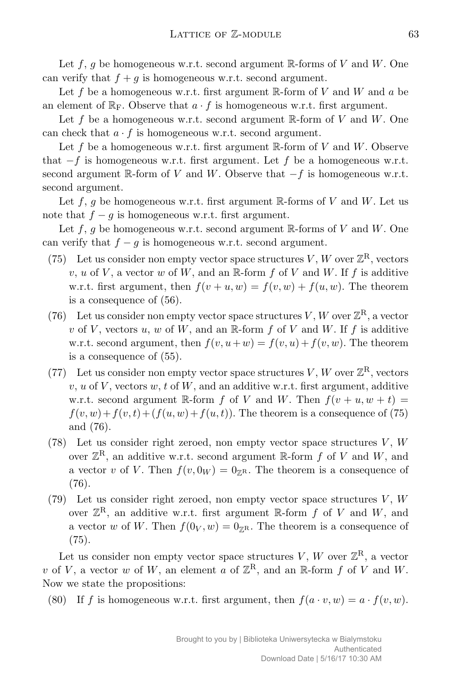Let *f*, *g* be homogeneous w.r.t. second argument R-forms of *V* and *W*. One can verify that  $f + g$  is homogeneous w.r.t. second argument.

Let *f* be a homogeneous w.r.t. first argument R-form of *V* and *W* and *a* be an element of  $\mathbb{R}_F$ . Observe that  $a \cdot f$  is homogeneous w.r.t. first argument.

Let *f* be a homogeneous w.r.t. second argument R-form of *V* and *W*. One can check that  $a \cdot f$  is homogeneous w.r.t. second argument.

Let *f* be a homogeneous w.r.t. first argument R-form of *V* and *W*. Observe that *−f* is homogeneous w.r.t. first argument. Let *f* be a homogeneous w.r.t. second argument R-form of *V* and *W*. Observe that *−f* is homogeneous w.r.t. second argument.

Let  $f, g$  be homogeneous w.r.t. first argument R-forms of  $V$  and  $W$ . Let us note that  $f - g$  is homogeneous w.r.t. first argument.

Let  $f$ ,  $g$  be homogeneous w.r.t. second argument  $\mathbb{R}$ -forms of  $V$  and  $W$ . One can verify that  $f - g$  is homogeneous w.r.t. second argument.

- (75) Let us consider non empty vector space structures  $V, W$  over  $\mathbb{Z}^R$ , vectors  $v, u$  of *V*, a vector  $w$  of  $W$ , and an R-form  $f$  of  $V$  and  $W$ . If  $f$  is additive w.r.t. first argument, then  $f(v + u, w) = f(v, w) + f(u, w)$ . The theorem is a consequence of (56).
- (76) Let us consider non empty vector space structures *V*, *W* over  $\mathbb{Z}^R$ , a vector *v* of *V*, vectors *u*, *w* of *W*, and an R-form  $f$  of *V* and *W*. If  $f$  is additive w.r.t. second argument, then  $f(v, u+w) = f(v, u) + f(v, w)$ . The theorem is a consequence of (55).
- (77) Let us consider non empty vector space structures  $V, W$  over  $\mathbb{Z}^R$ , vectors *v*, *u* of *V* , vectors *w*, *t* of *W*, and an additive w.r.t. first argument, additive w.r.t. second argument R-form *f* of *V* and *W*. Then  $f(v + u, w + t) =$  $f(v, w) + f(v, t) + (f(u, w) + f(u, t))$ . The theorem is a consequence of (75) and (76).
- (78) Let us consider right zeroed, non empty vector space structures  $V, W$ over  $\mathbb{Z}^{\mathbf{R}}$ , an additive w.r.t. second argument  $\mathbb{R}$ -form  $f$  of  $V$  and  $W$ , and a vector *v* of *V*. Then  $f(v, 0_W) = 0_{\mathbb{Z}^R}$ . The theorem is a consequence of (76).
- (79) Let us consider right zeroed, non empty vector space structures *V* , *W* over  $\mathbb{Z}^R$ , an additive w.r.t. first argument  $\mathbb{R}$ -form  $f$  of  $V$  and  $W$ , and a vector *w* of *W*. Then  $f(0_V, w) = 0_{\mathbb{Z}^R}$ . The theorem is a consequence of (75).

Let us consider non empty vector space structures  $V, W$  over  $\mathbb{Z}^R$ , a vector *v* of *V*, a vector *w* of *W*, an element *a* of  $\mathbb{Z}^R$ , and an R-form *f* of *V* and *W*. Now we state the propositions:

(80) If *f* is homogeneous w.r.t. first argument, then  $f(a \cdot v, w) = a \cdot f(v, w)$ .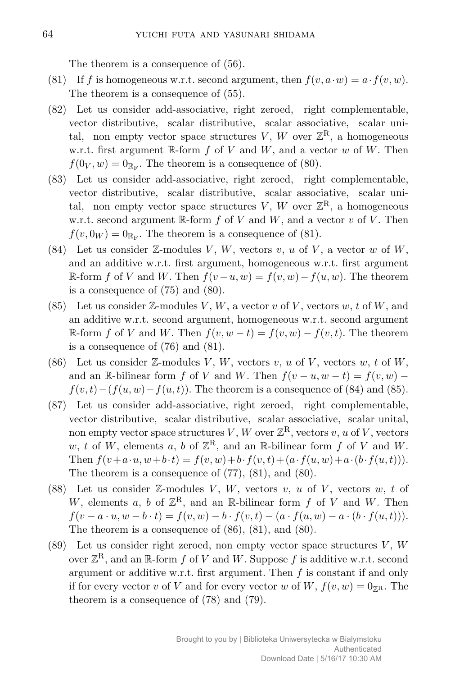The theorem is a consequence of (56).

- (81) If *f* is homogeneous w.r.t. second argument, then  $f(v, a \cdot w) = a \cdot f(v, w)$ . The theorem is a consequence of (55).
- (82) Let us consider add-associative, right zeroed, right complementable, vector distributive, scalar distributive, scalar associative, scalar unital, non empty vector space structures  $V, W$  over  $\mathbb{Z}^R$ , a homogeneous w.r.t. first argument R-form *f* of *V* and *W*, and a vector *w* of *W*. Then  $f(0_V, w) = 0_{\mathbb{R}_F}$ . The theorem is a consequence of (80).
- (83) Let us consider add-associative, right zeroed, right complementable, vector distributive, scalar distributive, scalar associative, scalar unital, non empty vector space structures  $V, W$  over  $\mathbb{Z}^R$ , a homogeneous w.r.t. second argument R-form *f* of *V* and *W*, and a vector *v* of *V* . Then  $f(v, 0_W) = 0_{\mathbb{R}_F}$ . The theorem is a consequence of (81).
- (84) Let us consider  $\mathbb{Z}$ -modules *V*, *W*, vectors *v*, *u* of *V*, a vector *w* of *W*, and an additive w.r.t. first argument, homogeneous w.r.t. first argument  $\mathbb{R}$ -form *f* of *V* and *W*. Then  $f(v - u, w) = f(v, w) - f(u, w)$ . The theorem is a consequence of (75) and (80).
- (85) Let us consider Z-modules *V* , *W*, a vector *v* of *V* , vectors *w*, *t* of *W*, and an additive w.r.t. second argument, homogeneous w.r.t. second argument  $ℝ$ -form *f* of *V* and *W*. Then  $f(v, w - t) = f(v, w) - f(v, t)$ . The theorem is a consequence of (76) and (81).
- (86) Let us consider  $\mathbb{Z}$ -modules *V*, *W*, vectors *v*, *u* of *V*, vectors *w*, *t* of *W*, and an R-bilinear form *f* of *V* and *W*. Then  $f(v - u, w - t) = f(v, w) - t$  $f(v, t) - (f(u, w) - f(u, t))$ . The theorem is a consequence of (84) and (85).
- (87) Let us consider add-associative, right zeroed, right complementable, vector distributive, scalar distributive, scalar associative, scalar unital, non empty vector space structures  $V, W$  over  $\mathbb{Z}^R$ , vectors  $v, u$  of  $V$ , vectors  $w, t$  of  $W$ , elements  $a, b$  of  $\mathbb{Z}^R$ , and an  $\mathbb{R}$ -bilinear form  $f$  of  $V$  and  $W$ . Then  $f(v+a\cdot u, w+b\cdot t) = f(v, w)+b\cdot f(v, t)+(a\cdot f(u, w)+a\cdot (b\cdot f(u, t))).$ The theorem is a consequence of (77), (81), and (80).
- (88) Let us consider Z-modules *V* , *W*, vectors *v*, *u* of *V* , vectors *w*, *t* of *W*, elements *a*, *b* of  $\mathbb{Z}^R$ , and an R-bilinear form *f* of *V* and *W*. Then  $f(v-a \cdot u, w-b \cdot t) = f(v, w) - b \cdot f(v, t) - (a \cdot f(u, w) - a \cdot (b \cdot f(u, t))).$ The theorem is a consequence of (86), (81), and (80).
- (89) Let us consider right zeroed, non empty vector space structures *V* , *W* over  $\mathbb{Z}^{\mathbb{R}}$ , and an  $\mathbb{R}$ -form  $f$  of  $V$  and  $W$ . Suppose  $f$  is additive w.r.t. second argument or additive w.r.t. first argument. Then *f* is constant if and only if for every vector *v* of *V* and for every vector *w* of *W*,  $f(v, w) = 0_{\mathbb{Z}^R}$ . The theorem is a consequence of (78) and (79).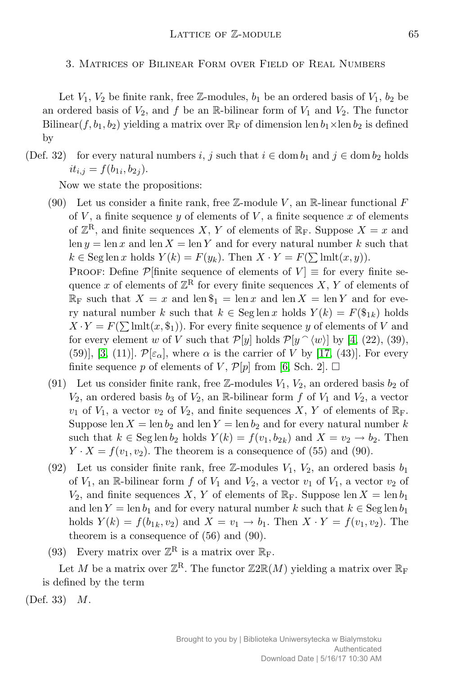3. Matrices of Bilinear Form over Field of Real Numbers

Let  $V_1$ ,  $V_2$  be finite rank, free Z-modules,  $b_1$  be an ordered basis of  $V_1$ ,  $b_2$  be an ordered basis of  $V_2$ , and f be an R-bilinear form of  $V_1$  and  $V_2$ . The functor Bilinear(*f*,  $b_1$ ,  $b_2$ ) yielding a matrix over  $\mathbb{R}_F$  of dimension len  $b_1 \times$ len  $b_2$  is defined by

(Def. 32) for every natural numbers *i*, *j* such that  $i \in \text{dom } b_1$  and  $j \in \text{dom } b_2$  holds  $it_{i,j} = f(b_{1i}, b_{2j}).$ 

Now we state the propositions:

(90) Let us consider a finite rank, free  $\mathbb{Z}$ -module *V*, an R-linear functional *F* of  $V$ , a finite sequence  $y$  of elements of  $V$ , a finite sequence  $x$  of elements of  $\mathbb{Z}^{\mathbb{R}}$ , and finite sequences *X*, *Y* of elements of  $\mathbb{R}_{\mathbb{F}}$ . Suppose *X* = *x* and len  $y = \text{len } x$  and len  $X = \text{len } Y$  and for every natural number  $k$  such that  $k \in \text{Seg len } x \text{ holds } Y(k) = F(y_k)$ . Then  $X \cdot Y = F(\sum \text{lmlt}(x, y))$ .

PROOF: Define  $\mathcal{P}$ [finite sequence of elements of  $V$ ]  $\equiv$  for every finite sequence *x* of elements of  $\mathbb{Z}^{\mathbb{R}}$  for every finite sequences *X*, *Y* of elements of  $\mathbb{R}_{\mathrm{F}}$  such that  $X = x$  and len  $\hat{\mathbb{S}}_1 = \mathrm{len} x$  and len  $X = \mathrm{len} Y$  and for every natural number *k* such that  $k \in \text{Seg len } x$  holds  $Y(k) = F(\$_{1k})$  holds  $X \cdot Y = F(\sum \text{lmlt}(x, \$_1))$ . For every finite sequence *y* of elements of *V* and for every element *w* of *V* such that  $\mathcal{P}[y]$  holds  $\mathcal{P}[y \cap \langle w \rangle]$  by [4, (22), (39), (59)], [3, (11)].  $\mathcal{P}[\varepsilon_{\alpha}]$ , where  $\alpha$  is the carrier of V by [17, (43)]. For every finite sequence p of elements of V,  $\mathcal{P}[p]$  from [6, Sch. 2].  $\Box$ 

- (91) Let us consider finite rank, free  $\mathbb{Z}$ -modules  $V_1$ ,  $V_2$ , an ordered basis  $b_2$  of  $V_2$ , an ordered basis  $b_3$  of  $V_2$ , an R-bilinear form  $f$  of  $V_1$  and  $V_2$ , a vector  $v_1$  of  $V_1$ , a vector  $v_2$  of  $V_2$ , and finite sequences X, Y of elements of  $\mathbb{R}_F$ . Suppose len  $X = \text{len } b_2$  and len  $Y = \text{len } b_2$  and for every natural number k such that  $k \in \text{Seg len } b_2$  holds  $Y(k) = f(v_1, b_{2k})$  and  $X = v_2 \rightarrow b_2$ . Then  $Y \cdot X = f(v_1, v_2)$ . The theorem is a consequence of (55) and (90).
- (92) Let us consider finite rank, free  $\mathbb{Z}$ -modules  $V_1$ ,  $V_2$ , an ordered basis  $b_1$ of  $V_1$ , an R-bilinear form  $f$  of  $V_1$  and  $V_2$ , a vector  $v_1$  of  $V_1$ , a vector  $v_2$  of  $V_2$ , and finite sequences *X*, *Y* of elements of  $\mathbb{R}_F$ . Suppose len  $X = \text{len } b_1$ and len *Y* = len *b*<sub>1</sub> and for every natural number *k* such that  $k \in \text{Seg len } b_1$ holds  $Y(k) = f(b_{1k}, v_2)$  and  $X = v_1 \to b_1$ . Then  $X \cdot Y = f(v_1, v_2)$ . The theorem is a consequence of (56) and (90).
- (93) Every matrix over  $\mathbb{Z}^R$  is a matrix over  $\mathbb{R}_F$ .

Let *M* be a matrix over  $\mathbb{Z}^R$ . The functor  $\mathbb{Z}2\mathbb{R}(M)$  yielding a matrix over  $\mathbb{R}_F$ is defined by the term

(Def. 33) *M*.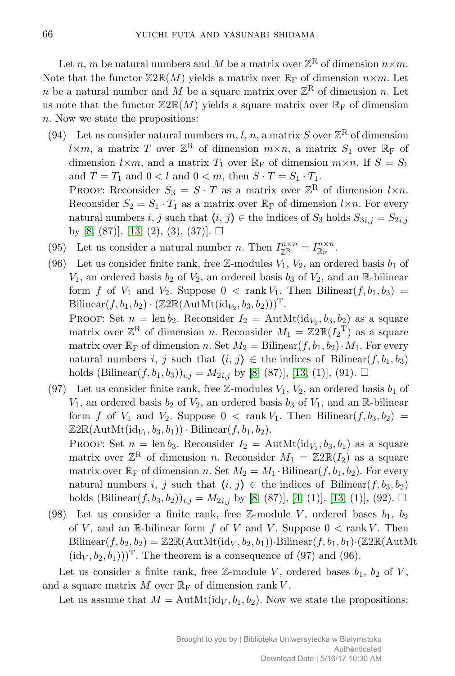Let *n*, *m* be natural numbers and *M* be a matrix over  $\mathbb{Z}^{\mathbb{R}}$  of dimension  $n \times m$ . Note that the functor  $\mathbb{Z}2\mathbb{R}(M)$  yields a matrix over  $\mathbb{R}_F$  of dimension  $n \times m$ . Let *n* be a natural number and *M* be a square matrix over  $\mathbb{Z}^{\mathbb{R}}$  of dimension *n*. Let us note that the functor  $\mathbb{Z}2\mathbb{R}(M)$  yields a square matrix over  $\mathbb{R}_F$  of dimension *n*. Now we state the propositions:

(94) Let us consider natural numbers  $m, l, n$ , a matrix S over  $\mathbb{Z}^R$  of dimension  $l \times m$ , a matrix *T* over  $\mathbb{Z}^R$  of dimension  $m \times n$ , a matrix  $S_1$  over  $\mathbb{R}_F$  of dimension  $l \times m$ , and a matrix  $T_1$  over  $\mathbb{R}_F$  of dimension  $m \times n$ . If  $S = S_1$ and  $T = T_1$  and  $0 < l$  and  $0 < m$ , then  $S \cdot T = S_1 \cdot T_1$ .

PROOF: Reconsider  $S_3 = S \cdot T$  as a matrix over  $\mathbb{Z}^R$  of dimension  $l \times n$ . Reconsider  $S_2 = S_1 \cdot T_1$  as a matrix over  $\mathbb{R}_F$  of dimension  $l \times n$ . For every natural numbers *i*, *j* such that  $\langle i, j \rangle \in$  the indices of *S*<sub>3</sub> holds  $S_{3i,j} = S_{2i,j}$ by [8, (87)], [13, (2), (3), (37)].  $\square$ 

- (95) Let us consider a natural number *n*. Then  $I_{\mathbb{Z}^R}^{n \times n} = I_{\mathbb{R}_F}^{n \times n}$ .
- (96) Let us consider finite rank, free  $\mathbb{Z}$ -modules  $V_1$ ,  $V_2$ , an ordered basis  $b_1$  of  $V_1$ , an ordered basis  $b_2$  of  $V_2$ , an ordered basis  $b_3$  of  $V_2$ , and an R-bilinear form *f* of  $V_1$  and  $V_2$ . Suppose  $0 < \text{rank } V_1$ . Then Bilinear $(f, b_1, b_3)$  =  $\text{Bilinear}(f, b_1, b_2) \cdot (\mathbb{Z}2\mathbb{R}(\text{AutMt}(\text{id}_{V_2}, b_3, b_2)))^{\text{T}}.$

PROOF: Set  $n = \text{len } b_2$ . Reconsider  $I_2 = \text{AutMt}(\text{id}_{V_2}, b_3, b_2)$  as a square matrix over  $\mathbb{Z}^R$  of dimension *n*. Reconsider  $M_1 = \mathbb{Z}2\mathbb{R}(I_2^T)$  as a square matrix over  $\mathbb{R}_{\text{F}}$  of dimension *n*. Set  $M_2 = \text{Bilinear}(f, b_1, b_2) \cdot M_1$ . For every natural numbers *i*, *j* such that  $\langle i, j \rangle \in$  the indices of Bilinear $(f, b_1, b_3)$ holds (Bilinear $(f, b_1, b_3)$ )<sub>*i,j*</sub> =  $M_{2i,j}$  by [8, (87)], [13, (1)], (91).  $\Box$ 

(97) Let us consider finite rank, free  $\mathbb{Z}$ -modules  $V_1$ ,  $V_2$ , an ordered basis  $b_1$  of  $V_1$ , an ordered basis  $b_2$  of  $V_2$ , an ordered basis  $b_3$  of  $V_1$ , and an R-bilinear form *f* of  $V_1$  and  $V_2$ . Suppose  $0 < \text{rank } V_1$ . Then Bilinear $(f, b_3, b_2)$  $\mathbb{Z}2\mathbb{R}(\text{AutMt}(\text{id}_{V_1},b_3,b_1))\cdot \text{Bilinear}(f,b_1,b_2).$ 

PROOF: Set  $n = \text{len } b_3$ . Reconsider  $I_2 = \text{AutMt}(\text{id}_{V_1}, b_3, b_1)$  as a square matrix over  $\mathbb{Z}^{\mathbb{R}}$  of dimension *n*. Reconsider  $M_1 = \mathbb{Z}2\mathbb{R}(I_2)$  as a square matrix over  $\mathbb{R}_F$  of dimension *n*. Set  $M_2 = M_1 \cdot \text{Bilinear}(f, b_1, b_2)$ . For every natural numbers *i*, *j* such that  $\langle i, j \rangle \in$  the indices of Bilinear $(f, b_3, b_2)$ holds  $(Bilinear(f, b_3, b_2))_{i,j} = M_{2i,j}$  by [8, (87)], [4, (1)], [13, (1)], (92).  $\Box$ 

(98) Let us consider a finite rank, free  $\mathbb{Z}$ -module *V*, ordered bases  $b_1, b_2$ of *V*, and an R-bilinear form *f* of *V* and *V*. Suppose  $0 < \text{rank } V$ . Then  $Bilinear(f, b_2, b_2) = \mathbb{Z}2\mathbb{R}(AutMt(id_V, b_2, b_1)) \cdot Bilinear(f, b_1, b_1) \cdot (\mathbb{Z}2\mathbb{R}(AutMt$  $(id_V, b_2, b_1))$ <sup>T</sup>. The theorem is a consequence of (97) and (96).

Let us consider a finite rank, free  $\mathbb{Z}$ -module *V*, ordered bases  $b_1$ ,  $b_2$  of *V*, and a square matrix  $M$  over  $\mathbb{R}_{\mathrm{F}}$  of dimension rank  $V$ .

Let us assume that  $M = \text{AutMt}(\text{id}_V, b_1, b_2)$ . Now we state the propositions: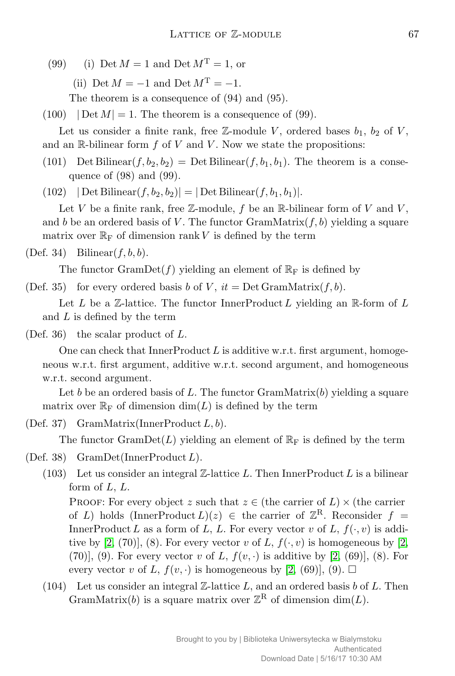(99) (i) Det  $M = 1$  and Det  $M^T = 1$ , or

(ii) Det  $M = -1$  and Det  $M<sup>T</sup> = -1$ .

The theorem is a consequence of (94) and (95).

 $(100)$   $|Det M| = 1$ . The theorem is a consequence of (99).

Let us consider a finite rank, free  $\mathbb{Z}$ -module *V*, ordered bases  $b_1$ ,  $b_2$  of *V*, and an  $\mathbb{R}$ -bilinear form  $f$  of  $V$  and  $V$ . Now we state the propositions:

(101) Det Bilinear $(f, b_2, b_2)$  = Det Bilinear $(f, b_1, b_1)$ . The theorem is a consequence of (98) and (99).

 $(102)$  *|* Det Bilinear $(f, b_2, b_2)$ *|* = *|* Det Bilinear $(f, b_1, b_1)$ *|*.

Let *V* be a finite rank, free  $\mathbb{Z}$ -module, f be an  $\mathbb{R}$ -bilinear form of *V* and *V*, and *b* be an ordered basis of *V*. The functor GramMatrix $(f, b)$  yielding a square matrix over  $\mathbb{R}_{\mathbb{F}}$  of dimension rank *V* is defined by the term

## (Def. 34) Bilinear(*f, b, b*).

The functor  $GramDet(f)$  yielding an element of  $\mathbb{R}_F$  is defined by

(Def. 35) for every ordered basis *b* of *V*,  $it = Det GramMatrix(f, b)$ .

Let  $L$  be a  $\mathbb{Z}$ -lattice. The functor InnerProduct  $L$  yielding an  $\mathbb{R}$ -form of  $L$ and *L* is defined by the term

(Def. 36) the scalar product of *L*.

One can check that InnerProduct *L* is additive w.r.t. first argument, homogeneous w.r.t. first argument, additive w.r.t. second argument, and homogeneous w.r.t. second argument.

Let *b* be an ordered basis of *L*. The functor GramMatrix(*b*) yielding a square matrix over  $\mathbb{R}_{\mathrm{F}}$  of dimension  $\dim(L)$  is defined by the term

(Def. 37) GramMatrix(InnerProduct *L, b*).

The functor  $GramDet(L)$  yielding an element of  $\mathbb{R}_{F}$  is defined by the term

- (Def. 38) GramDet(InnerProduct *L*).
	- (103) Let us consider an integral  $\mathbb{Z}$ -lattice L. Then InnerProduct L is a bilinear form of *L*, *L*.

PROOF: For every object *z* such that  $z \in$  (the carrier of *L*)  $\times$  (the carrier of *L*) holds (InnerProduct  $L(x) \in \mathbb{R}$  be carrier of  $\mathbb{Z}^R$ . Reconsider  $f =$ InnerProduct *L* as a form of *L*, *L*. For every vector *v* of *L*,  $f(\cdot, v)$  is additive by [2, (70)], (8). For every vector *v* of *L*,  $f(\cdot, v)$  is homogeneous by [2, (70)], (9). For every vector *v* of *L*,  $f(v, \cdot)$  is additive by [2, (69)], (8). For every vector *v* of *L*,  $f(v, \cdot)$  is homogeneous by [2, (69)], (9).  $\Box$ 

(104) Let us consider an integral Z-lattice *L*, and an ordered basis *b* of *L*. Then GramMatrix(*b*) is a square matrix over  $\mathbb{Z}^R$  of dimension  $\dim(L)$ .